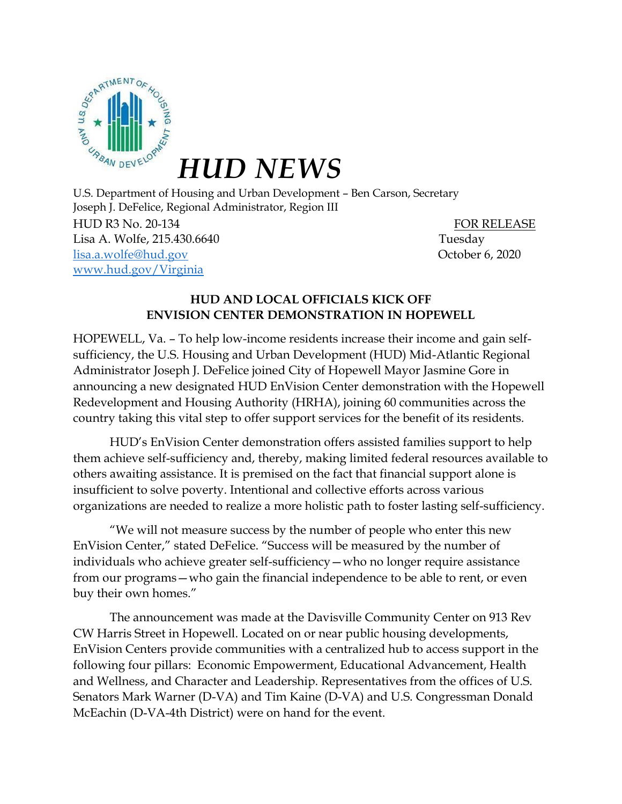

*HUD NEWS*

U.S. Department of Housing and Urban Development – Ben Carson, Secretary Joseph J. DeFelice, Regional Administrator, Region III

HUD R3 No. 20-134 FOR RELEASE Lisa A. Wolfe, 215.430.6640 Tuesday [lisa.a.wolfe@hud.gov](mailto:lisa.a.wolfe@hud.gov) October 6, 2020 [www.hud.gov/Virginia](https://linkprotect.cudasvc.com/url?a=https%3a%2f%2ffile%3a%2f%2fcphinfp001%2f3AS%2fPublic%2520Affairs%2f2019%2520Press%2520Releases%2fReleased%2fVA%2fwww.hud.gov%2fVirginia&c=E,1,rRgdt_sGonScqhZk7h7R5zYeVkFbbBe0NZKnatNW3yFtIjs4W6YqpoW_OqPiU3118V-bXO41sKJW7FzpCNidwh-SZq6-VodklvPp5A88TFgHk2R70f0-&typo=1)

## **HUD AND LOCAL OFFICIALS KICK OFF ENVISION CENTER DEMONSTRATION IN HOPEWELL**

HOPEWELL, Va. – To help low-income residents increase their income and gain selfsufficiency, the U.S. Housing and Urban Development (HUD) Mid-Atlantic Regional Administrator Joseph J. DeFelice joined City of Hopewell Mayor Jasmine Gore in announcing a new designated HUD EnVision Center demonstration with the Hopewell Redevelopment and Housing Authority (HRHA), joining 60 communities across the country taking this vital step to offer support services for the benefit of its residents.

HUD's EnVision Center demonstration offers assisted families support to help them achieve self-sufficiency and, thereby, making limited federal resources available to others awaiting assistance. It is premised on the fact that financial support alone is insufficient to solve poverty. Intentional and collective efforts across various organizations are needed to realize a more holistic path to foster lasting self-sufficiency.

"We will not measure success by the number of people who enter this new EnVision Center," stated DeFelice. "Success will be measured by the number of individuals who achieve greater self-sufficiency—who no longer require assistance from our programs—who gain the financial independence to be able to rent, or even buy their own homes."

The announcement was made at the Davisville Community Center on 913 Rev CW Harris Street in Hopewell. Located on or near public housing developments, EnVision Centers provide communities with a centralized hub to access support in the following four pillars: Economic Empowerment, Educational Advancement, Health and Wellness, and Character and Leadership. Representatives from the offices of U.S. Senators Mark Warner (D-VA) and Tim Kaine (D-VA) and U.S. Congressman Donald McEachin (D-VA-4th District) were on hand for the event.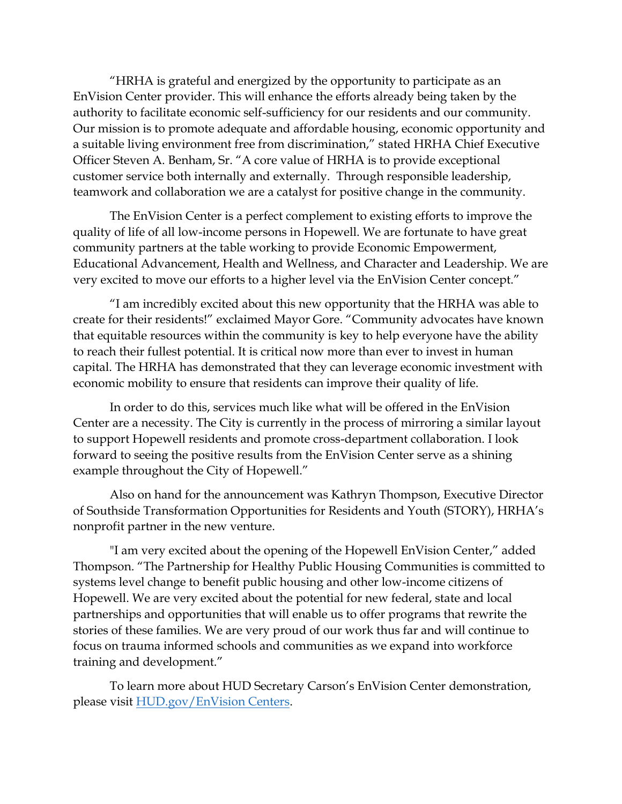"HRHA is grateful and energized by the opportunity to participate as an EnVision Center provider. This will enhance the efforts already being taken by the authority to facilitate economic self-sufficiency for our residents and our community. Our mission is to promote adequate and affordable housing, economic opportunity and a suitable living environment free from discrimination," stated HRHA Chief Executive Officer Steven A. Benham, Sr. "A core value of HRHA is to provide exceptional customer service both internally and externally. Through responsible leadership, teamwork and collaboration we are a catalyst for positive change in the community.

The EnVision Center is a perfect complement to existing efforts to improve the quality of life of all low-income persons in Hopewell. We are fortunate to have great community partners at the table working to provide Economic Empowerment, Educational Advancement, Health and Wellness, and Character and Leadership. We are very excited to move our efforts to a higher level via the EnVision Center concept."

"I am incredibly excited about this new opportunity that the HRHA was able to create for their residents!" exclaimed Mayor Gore. "Community advocates have known that equitable resources within the community is key to help everyone have the ability to reach their fullest potential. It is critical now more than ever to invest in human capital. The HRHA has demonstrated that they can leverage economic investment with economic mobility to ensure that residents can improve their quality of life.

In order to do this, services much like what will be offered in the EnVision Center are a necessity. The City is currently in the process of mirroring a similar layout to support Hopewell residents and promote cross-department collaboration. I look forward to seeing the positive results from the EnVision Center serve as a shining example throughout the City of Hopewell."

Also on hand for the announcement was Kathryn Thompson, Executive Director of Southside Transformation Opportunities for Residents and Youth (STORY), HRHA's nonprofit partner in the new venture.

"I am very excited about the opening of the Hopewell EnVision Center," added Thompson. "The Partnership for Healthy Public Housing Communities is committed to systems level change to benefit public housing and other low-income citizens of Hopewell. We are very excited about the potential for new federal, state and local partnerships and opportunities that will enable us to offer programs that rewrite the stories of these families. We are very proud of our work thus far and will continue to focus on trauma informed schools and communities as we expand into workforce training and development."

To learn more about HUD Secretary Carson's EnVision Center demonstration, please visit [HUD.gov/EnVision Centers.](https://linkprotect.cudasvc.com/url?a=https%3a%2f%2fwww.hud.gov%2fenvisioncenters&c=E,1,hj-sZY5mD-NxmsL2gz5Yb8P4s_OwLcjs-1PWRRxlP12rFssJ5cutQxR05VbK3XfgiUEa3x9pgJve2EAh-3UBh9wnCsM63XXWri2NungFkXjSDQzWjlVu&typo=1)